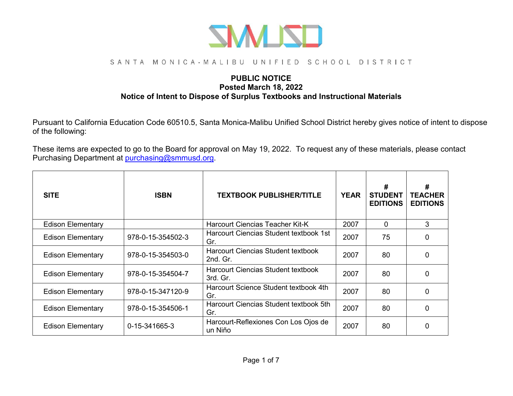

#### SANTA MONICA-MALIBU UNIFIED SCHOOL DISTRICT

#### **PUBLIC NOTICE Posted March 18, 2022 Notice of Intent to Dispose of Surplus Textbooks and Instructional Materials**

Pursuant to California Education Code 60510.5, Santa Monica-Malibu Unified School District hereby gives notice of intent to dispose of the following:

These items are expected to go to the Board for approval on May 19, 2022. To request any of these materials, please contact Purchasing Department at [purchasing@smmusd.org.](mailto:purchasing@smmusd.org)

| <b>SITE</b>              | <b>ISBN</b>       | <b>TEXTBOOK PUBLISHER/TITLE</b>                       | <b>YEAR</b> | #<br><b>STUDENT</b><br><b>EDITIONS</b> | #<br><b>TEACHER</b><br><b>EDITIONS</b> |
|--------------------------|-------------------|-------------------------------------------------------|-------------|----------------------------------------|----------------------------------------|
| <b>Edison Elementary</b> |                   | <b>Harcourt Ciencias Teacher Kit-K</b>                | 2007        | $\mathbf{0}$                           | 3                                      |
| <b>Edison Elementary</b> | 978-0-15-354502-3 | Harcourt Ciencias Student textbook 1st<br>Gr.         | 2007        | 75                                     | $\Omega$                               |
| <b>Edison Elementary</b> | 978-0-15-354503-0 | <b>Harcourt Ciencias Student textbook</b><br>2nd. Gr. | 2007        | 80                                     | $\Omega$                               |
| <b>Edison Elementary</b> | 978-0-15-354504-7 | <b>Harcourt Ciencias Student textbook</b><br>3rd. Gr. | 2007        | 80                                     | $\Omega$                               |
| <b>Edison Elementary</b> | 978-0-15-347120-9 | Harcourt Science Student textbook 4th<br>Gr.          | 2007        | 80                                     | $\Omega$                               |
| <b>Edison Elementary</b> | 978-0-15-354506-1 | Harcourt Ciencias Student textbook 5th<br>Gr.         | 2007        | 80                                     | $\Omega$                               |
| <b>Edison Elementary</b> | 0-15-341665-3     | Harcourt-Reflexiones Con Los Ojos de<br>un Niño       | 2007        | 80                                     | $\Omega$                               |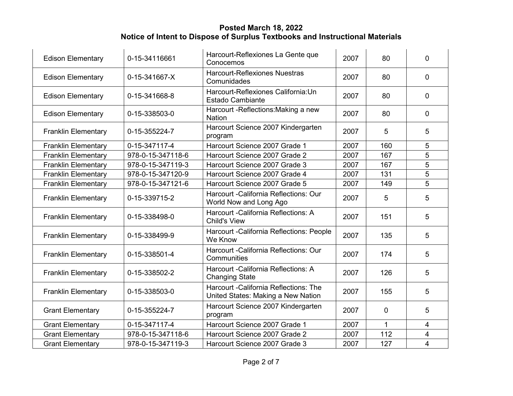| <b>Edison Elementary</b>   | 0-15-34116661     | Harcourt-Reflexiones La Gente que<br>Conocemos                               | 2007 | 80           | $\Omega$                |
|----------------------------|-------------------|------------------------------------------------------------------------------|------|--------------|-------------------------|
| <b>Edison Elementary</b>   | 0-15-341667-X     | <b>Harcourt-Reflexiones Nuestras</b><br>Comunidades                          | 2007 | 80           | $\mathbf 0$             |
| <b>Edison Elementary</b>   | 0-15-341668-8     | Harcourt-Reflexiones California: Un<br>Estado Cambiante                      | 2007 | 80           | $\overline{0}$          |
| <b>Edison Elementary</b>   | 0-15-338503-0     | Harcourt - Reflections: Making a new<br><b>Nation</b>                        | 2007 | 80           | $\mathbf{0}$            |
| <b>Franklin Elementary</b> | 0-15-355224-7     | Harcourt Science 2007 Kindergarten<br>program                                | 2007 | 5            | 5                       |
| <b>Franklin Elementary</b> | 0-15-347117-4     | Harcourt Science 2007 Grade 1                                                | 2007 | 160          | 5                       |
| <b>Franklin Elementary</b> | 978-0-15-347118-6 | Harcourt Science 2007 Grade 2                                                | 2007 | 167          | 5                       |
| <b>Franklin Elementary</b> | 978-0-15-347119-3 | Harcourt Science 2007 Grade 3                                                | 2007 | 167          | 5                       |
| <b>Franklin Elementary</b> | 978-0-15-347120-9 | Harcourt Science 2007 Grade 4                                                | 2007 | 131          | 5                       |
| <b>Franklin Elementary</b> | 978-0-15-347121-6 | Harcourt Science 2007 Grade 5                                                | 2007 | 149          | $\overline{5}$          |
| <b>Franklin Elementary</b> | 0-15-339715-2     | Harcourt - California Reflections: Our<br>World Now and Long Ago             | 2007 | 5            | 5                       |
| <b>Franklin Elementary</b> | 0-15-338498-0     | Harcourt - California Reflections: A<br><b>Child's View</b>                  | 2007 | 151          | 5                       |
| <b>Franklin Elementary</b> | 0-15-338499-9     | Harcourt - California Reflections: People<br>We Know                         | 2007 | 135          | 5                       |
| <b>Franklin Elementary</b> | 0-15-338501-4     | Harcourt - California Reflections: Our<br>Communities                        | 2007 | 174          | 5                       |
| <b>Franklin Elementary</b> | 0-15-338502-2     | Harcourt - California Reflections: A<br><b>Changing State</b>                | 2007 | 126          | 5                       |
| <b>Franklin Elementary</b> | 0-15-338503-0     | Harcourt - California Reflections: The<br>United States: Making a New Nation | 2007 | 155          | 5                       |
| <b>Grant Elementary</b>    | 0-15-355224-7     | Harcourt Science 2007 Kindergarten<br>program                                | 2007 | $\mathbf 0$  | 5                       |
| <b>Grant Elementary</b>    | 0-15-347117-4     | Harcourt Science 2007 Grade 1                                                | 2007 | $\mathbf{1}$ | 4                       |
| <b>Grant Elementary</b>    | 978-0-15-347118-6 | Harcourt Science 2007 Grade 2                                                | 2007 | 112          | $\overline{4}$          |
| <b>Grant Elementary</b>    | 978-0-15-347119-3 | Harcourt Science 2007 Grade 3                                                | 2007 | 127          | $\overline{\mathbf{4}}$ |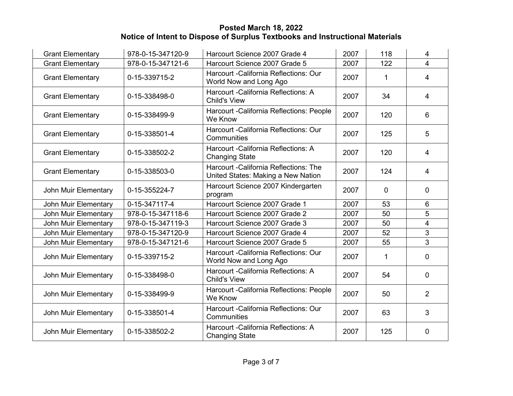| <b>Grant Elementary</b> | 978-0-15-347120-9 | Harcourt Science 2007 Grade 4                                                       | 2007 | 118          | $\overline{4}$ |
|-------------------------|-------------------|-------------------------------------------------------------------------------------|------|--------------|----------------|
| <b>Grant Elementary</b> | 978-0-15-347121-6 | Harcourt Science 2007 Grade 5                                                       | 2007 | 122          | $\overline{4}$ |
| <b>Grant Elementary</b> | 0-15-339715-2     | Harcourt - California Reflections: Our<br>World Now and Long Ago                    | 2007 | 1            | $\overline{4}$ |
| <b>Grant Elementary</b> | 0-15-338498-0     | Harcourt - California Reflections: A<br><b>Child's View</b>                         | 2007 | 34           | $\overline{4}$ |
| <b>Grant Elementary</b> | 0-15-338499-9     | Harcourt - California Reflections: People<br>We Know                                | 2007 | 120          | 6              |
| <b>Grant Elementary</b> | 0-15-338501-4     | Harcourt - California Reflections: Our<br>Communities                               | 2007 | 125          | 5              |
| <b>Grant Elementary</b> | 0-15-338502-2     | Harcourt - California Reflections: A<br><b>Changing State</b>                       | 2007 | 120          | $\overline{4}$ |
| <b>Grant Elementary</b> | 0-15-338503-0     | <b>Harcourt - California Reflections: The</b><br>United States: Making a New Nation | 2007 | 124          | $\overline{4}$ |
| John Muir Elementary    | 0-15-355224-7     | Harcourt Science 2007 Kindergarten<br>program                                       | 2007 | $\mathbf{0}$ | $\overline{0}$ |
| John Muir Elementary    | 0-15-347117-4     | Harcourt Science 2007 Grade 1                                                       | 2007 | 53           | 6              |
| John Muir Elementary    | 978-0-15-347118-6 | Harcourt Science 2007 Grade 2                                                       | 2007 | 50           | 5              |
| John Muir Elementary    | 978-0-15-347119-3 | Harcourt Science 2007 Grade 3                                                       | 2007 | 50           | 4              |
| John Muir Elementary    | 978-0-15-347120-9 | Harcourt Science 2007 Grade 4                                                       | 2007 | 52           | 3              |
| John Muir Elementary    | 978-0-15-347121-6 | Harcourt Science 2007 Grade 5                                                       | 2007 | 55           | 3              |
| John Muir Elementary    | 0-15-339715-2     | Harcourt - California Reflections: Our<br>World Now and Long Ago                    | 2007 | 1            | $\mathbf{0}$   |
| John Muir Elementary    | 0-15-338498-0     | Harcourt - California Reflections: A<br><b>Child's View</b>                         | 2007 | 54           | $\overline{0}$ |
| John Muir Elementary    | 0-15-338499-9     | Harcourt - California Reflections: People<br>We Know                                | 2007 | 50           | 2              |
| John Muir Elementary    | 0-15-338501-4     | Harcourt - California Reflections: Our<br>Communities                               | 2007 | 63           | 3              |
| John Muir Elementary    | 0-15-338502-2     | Harcourt - California Reflections: A<br><b>Changing State</b>                       | 2007 | 125          | 0              |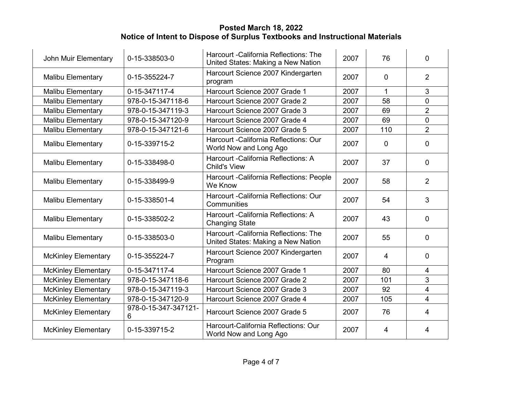| John Muir Elementary       | 0-15-338503-0             | Harcourt - California Reflections: The<br>United States: Making a New Nation | 2007 | 76             | 0              |
|----------------------------|---------------------------|------------------------------------------------------------------------------|------|----------------|----------------|
| <b>Malibu Elementary</b>   | 0-15-355224-7             | Harcourt Science 2007 Kindergarten<br>program                                | 2007 | $\Omega$       | 2              |
| <b>Malibu Elementary</b>   | 0-15-347117-4             | Harcourt Science 2007 Grade 1                                                | 2007 | $\mathbf{1}$   | 3              |
| <b>Malibu Elementary</b>   | 978-0-15-347118-6         | Harcourt Science 2007 Grade 2                                                | 2007 | 58             | $\overline{0}$ |
| <b>Malibu Elementary</b>   | 978-0-15-347119-3         | Harcourt Science 2007 Grade 3                                                | 2007 | 69             | $\overline{2}$ |
| Malibu Elementary          | 978-0-15-347120-9         | Harcourt Science 2007 Grade 4                                                | 2007 | 69             | 0              |
| Malibu Elementary          | 978-0-15-347121-6         | Harcourt Science 2007 Grade 5                                                | 2007 | 110            | $\overline{2}$ |
| Malibu Elementary          | 0-15-339715-2             | Harcourt - California Reflections: Our<br>World Now and Long Ago             | 2007 | $\mathbf{0}$   | 0              |
| Malibu Elementary          | 0-15-338498-0             | Harcourt - California Reflections: A<br><b>Child's View</b>                  | 2007 | 37             | 0              |
| Malibu Elementary          | 0-15-338499-9             | Harcourt - California Reflections: People<br>We Know                         | 2007 | 58             | $\overline{2}$ |
| Malibu Elementary          | 0-15-338501-4             | Harcourt - California Reflections: Our<br>Communities                        | 2007 | 54             | 3              |
| <b>Malibu Elementary</b>   | 0-15-338502-2             | Harcourt - California Reflections: A<br><b>Changing State</b>                | 2007 | 43             | 0              |
| <b>Malibu Elementary</b>   | 0-15-338503-0             | Harcourt - California Reflections: The<br>United States: Making a New Nation | 2007 | 55             | 0              |
| <b>McKinley Elementary</b> | 0-15-355224-7             | Harcourt Science 2007 Kindergarten<br>Program                                | 2007 | $\overline{4}$ | 0              |
| <b>McKinley Elementary</b> | 0-15-347117-4             | Harcourt Science 2007 Grade 1                                                | 2007 | 80             | 4              |
| <b>McKinley Elementary</b> | 978-0-15-347118-6         | Harcourt Science 2007 Grade 2                                                | 2007 | 101            | 3              |
| <b>McKinley Elementary</b> | 978-0-15-347119-3         | Harcourt Science 2007 Grade 3                                                | 2007 | 92             | 4              |
| <b>McKinley Elementary</b> | 978-0-15-347120-9         | Harcourt Science 2007 Grade 4                                                | 2007 | 105            | 4              |
| <b>McKinley Elementary</b> | 978-0-15-347-347121-<br>6 | Harcourt Science 2007 Grade 5                                                | 2007 | 76             | 4              |
| <b>McKinley Elementary</b> | 0-15-339715-2             | Harcourt-California Reflections: Our<br>World Now and Long Ago               | 2007 | 4              | 4              |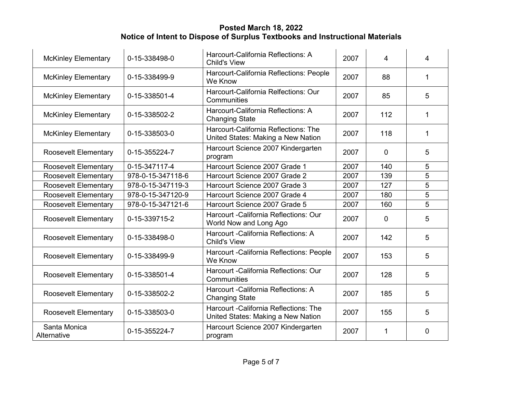| <b>McKinley Elementary</b>  | 0-15-338498-0     | Harcourt-California Reflections: A<br><b>Child's View</b>                           | 2007 | 4              | 4 |
|-----------------------------|-------------------|-------------------------------------------------------------------------------------|------|----------------|---|
| <b>McKinley Elementary</b>  | 0-15-338499-9     | Harcourt-California Reflections: People<br>We Know                                  | 2007 | 88             | 1 |
| <b>McKinley Elementary</b>  | 0-15-338501-4     | Harcourt-California Relfections: Our<br>Communities                                 | 2007 | 85             | 5 |
| <b>McKinley Elementary</b>  | 0-15-338502-2     | Harcourt-California Reflections: A<br><b>Changing State</b>                         | 2007 | 112            | 1 |
| <b>McKinley Elementary</b>  | 0-15-338503-0     | Harcourt-California Reflections: The<br>United States: Making a New Nation          | 2007 | 118            | 1 |
| <b>Roosevelt Elementary</b> | 0-15-355224-7     | Harcourt Science 2007 Kindergarten<br>program                                       | 2007 | $\overline{0}$ | 5 |
| <b>Roosevelt Elementary</b> | 0-15-347117-4     | Harcourt Science 2007 Grade 1                                                       | 2007 | 140            | 5 |
| <b>Roosevelt Elementary</b> | 978-0-15-347118-6 | Harcourt Science 2007 Grade 2                                                       | 2007 | 139            | 5 |
| <b>Roosevelt Elementary</b> | 978-0-15-347119-3 | Harcourt Science 2007 Grade 3                                                       | 2007 | 127            | 5 |
| <b>Roosevelt Elementary</b> | 978-0-15-347120-9 | Harcourt Science 2007 Grade 4                                                       | 2007 | 180            | 5 |
| <b>Roosevelt Elementary</b> | 978-0-15-347121-6 | Harcourt Science 2007 Grade 5                                                       | 2007 | 160            | 5 |
| <b>Roosevelt Elementary</b> | 0-15-339715-2     | Harcourt - California Reflections: Our<br>World Now and Long Ago                    | 2007 | $\mathbf 0$    | 5 |
| <b>Roosevelt Elementary</b> | 0-15-338498-0     | Harcourt - California Reflections: A<br><b>Child's View</b>                         | 2007 | 142            | 5 |
| <b>Roosevelt Elementary</b> | 0-15-338499-9     | Harcourt - California Reflections: People<br>We Know                                | 2007 | 153            | 5 |
| <b>Roosevelt Elementary</b> | 0-15-338501-4     | Harcourt - California Reflections: Our<br>Communities                               | 2007 | 128            | 5 |
| <b>Roosevelt Elementary</b> | 0-15-338502-2     | Harcourt - California Reflections: A<br><b>Changing State</b>                       | 2007 | 185            | 5 |
| <b>Roosevelt Elementary</b> | 0-15-338503-0     | <b>Harcourt - California Reflections: The</b><br>United States: Making a New Nation | 2007 | 155            | 5 |
| Santa Monica<br>Alternative | 0-15-355224-7     | Harcourt Science 2007 Kindergarten<br>program                                       | 2007 | $\mathbf 1$    | 0 |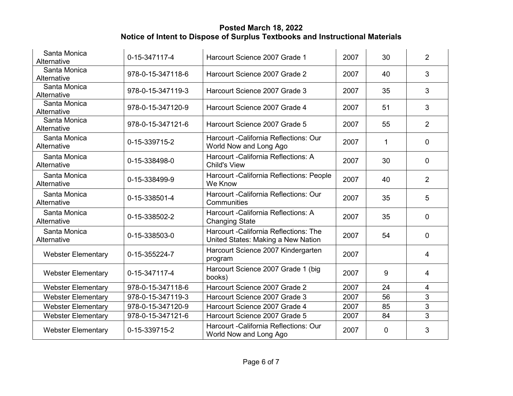| Santa Monica<br>Alternative | 0-15-347117-4     | Harcourt Science 2007 Grade 1                                                | 2007 | 30           | $\overline{2}$ |
|-----------------------------|-------------------|------------------------------------------------------------------------------|------|--------------|----------------|
| Santa Monica<br>Alternative | 978-0-15-347118-6 | Harcourt Science 2007 Grade 2                                                | 2007 | 40           | 3              |
| Santa Monica<br>Alternative | 978-0-15-347119-3 | Harcourt Science 2007 Grade 3                                                | 2007 | 35           | 3              |
| Santa Monica<br>Alternative | 978-0-15-347120-9 | Harcourt Science 2007 Grade 4                                                | 2007 | 51           | 3              |
| Santa Monica<br>Alternative | 978-0-15-347121-6 | Harcourt Science 2007 Grade 5                                                | 2007 | 55           | $\overline{2}$ |
| Santa Monica<br>Alternative | 0-15-339715-2     | Harcourt - California Reflections: Our<br>World Now and Long Ago             | 2007 | 1            | $\overline{0}$ |
| Santa Monica<br>Alternative | 0-15-338498-0     | Harcourt - California Reflections: A<br><b>Child's View</b>                  | 2007 | 30           | $\Omega$       |
| Santa Monica<br>Alternative | 0-15-338499-9     | Harcourt - California Reflections: People<br>We Know                         | 2007 | 40           | 2              |
| Santa Monica<br>Alternative | 0-15-338501-4     | Harcourt - California Reflections: Our<br>Communities                        | 2007 | 35           | 5              |
| Santa Monica<br>Alternative | 0-15-338502-2     | Harcourt - California Reflections: A<br><b>Changing State</b>                | 2007 | 35           | $\Omega$       |
| Santa Monica<br>Alternative | 0-15-338503-0     | Harcourt - California Reflections: The<br>United States: Making a New Nation | 2007 | 54           | $\overline{0}$ |
| <b>Webster Elementary</b>   | 0-15-355224-7     | Harcourt Science 2007 Kindergarten<br>program                                | 2007 |              | $\overline{4}$ |
| <b>Webster Elementary</b>   | 0-15-347117-4     | Harcourt Science 2007 Grade 1 (big<br>books)                                 | 2007 | 9            | $\overline{4}$ |
| <b>Webster Elementary</b>   | 978-0-15-347118-6 | Harcourt Science 2007 Grade 2                                                | 2007 | 24           | $\overline{4}$ |
| <b>Webster Elementary</b>   | 978-0-15-347119-3 | Harcourt Science 2007 Grade 3                                                | 2007 | 56           | 3              |
| <b>Webster Elementary</b>   | 978-0-15-347120-9 | Harcourt Science 2007 Grade 4                                                | 2007 | 85           | $\overline{3}$ |
| <b>Webster Elementary</b>   | 978-0-15-347121-6 | Harcourt Science 2007 Grade 5                                                | 2007 | 84           | 3              |
| <b>Webster Elementary</b>   | 0-15-339715-2     | Harcourt - California Reflections: Our<br>World Now and Long Ago             | 2007 | $\mathbf{0}$ | 3              |